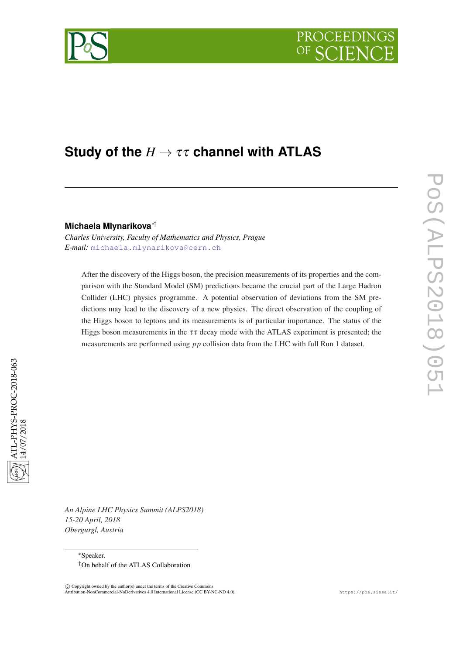

# **Study of the** *H* → ττ **channel with ATLAS**

# **Michaela Mlynarikova**∗†

*Charles University, Faculty of Mathematics and Physics, Prague E-mail:* [michaela.mlynarikova@cern.ch](mailto:michaela.mlynarikova@cern.ch)

After the discovery of the Higgs boson, the precision measurements of its properties and the comparison with the Standard Model (SM) predictions became the crucial part of the Large Hadron Collider (LHC) physics programme. A potential observation of deviations from the SM predictions may lead to the discovery of a new physics. The direct observation of the coupling of the Higgs boson to leptons and its measurements is of particular importance. The status of the Higgs boson measurements in the  $\tau\tau$  decay mode with the ATLAS experiment is presented; the measurements are performed using *pp* collision data from the LHC with full Run 1 dataset.

*An Alpine LHC Physics Summit (ALPS2018) 15-20 April, 2018 Obergurgl, Austria*

 $\overline{c}$  Copyright owned by the author(s) under the terms of the Creative Common Attribution-NonCommercial-NoDerivatives 4.0 International License (CC BY-NC-ND 4.0). https://pos.sissa.it/ PoS(ALPS2018)051

POS(ALPS2018)051

<sup>∗</sup>Speaker. †On behalf of the ATLAS Collaboration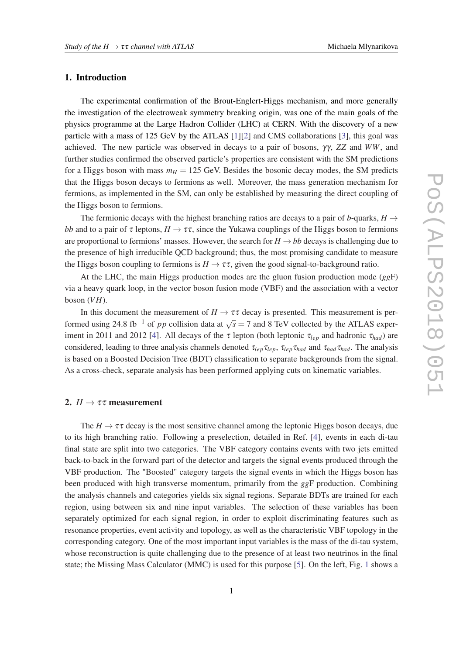# 1. Introduction

The experimental confirmation of the Brout-Englert-Higgs mechanism, and more generally the investigation of the electroweak symmetry breaking origin, was one of the main goals of the physics programme at the Large Hadron Collider (LHC) at CERN. With the discovery of a new particle with a mass of 125 GeV by the ATLAS [[1](#page-4-0)][[2](#page-4-0)] and CMS collaborations [\[3\]](#page-4-0), this goal was achieved. The new particle was observed in decays to a pair of bosons, γγ, *ZZ* and *WW*, and further studies confirmed the observed particle's properties are consistent with the SM predictions for a Higgs boson with mass  $m_H = 125$  GeV. Besides the bosonic decay modes, the SM predicts that the Higgs boson decays to fermions as well. Moreover, the mass generation mechanism for fermions, as implemented in the SM, can only be established by measuring the direct coupling of the Higgs boson to fermions.

The fermionic decays with the highest branching ratios are decays to a pair of *b*-quarks,  $H \rightarrow$ *bb* and to a pair of  $\tau$  leptons,  $H \to \tau \tau$ , since the Yukawa couplings of the Higgs boson to fermions are proportional to fermions' masses. However, the search for  $H \rightarrow bb$  decays is challenging due to the presence of high irreducible QCD background; thus, the most promising candidate to measure the Higgs boson coupling to fermions is  $H \to \tau \tau$ , given the good signal-to-background ratio.

At the LHC, the main Higgs production modes are the gluon fusion production mode (*gg*F) via a heavy quark loop, in the vector boson fusion mode (VBF) and the association with a vector boson  $(VH)$ .

In this document the measurement of  $H \to \tau \tau$  decay is presented. This measurement is performed using 24.8 fb<sup>-1</sup> of *pp* collision data at  $\sqrt{s} = 7$  and 8 TeV collected by the ATLAS exper-iment in 2011 and 2012 [[4](#page-4-0)]. All decays of the  $\tau$  lepton (both leptonic  $\tau_{lep}$  and hadronic  $\tau_{had}$ ) are considered, leading to three analysis channels denoted τ*lep*τ*lep*, τ*lep*τ*had* and τ*had*τ*had*. The analysis is based on a Boosted Decision Tree (BDT) classification to separate backgrounds from the signal. As a cross-check, separate analysis has been performed applying cuts on kinematic variables.

### 2.  $H \rightarrow \tau \tau$  measurement

The  $H \to \tau \tau$  decay is the most sensitive channel among the leptonic Higgs boson decays, due to its high branching ratio. Following a preselection, detailed in Ref. [\[4\]](#page-4-0), events in each di-tau final state are split into two categories. The VBF category contains events with two jets emitted back-to-back in the forward part of the detector and targets the signal events produced through the VBF production. The "Boosted" category targets the signal events in which the Higgs boson has been produced with high transverse momentum, primarily from the *gg*F production. Combining the analysis channels and categories yields six signal regions. Separate BDTs are trained for each region, using between six and nine input variables. The selection of these variables has been separately optimized for each signal region, in order to exploit discriminating features such as resonance properties, event activity and topology, as well as the characteristic VBF topology in the corresponding category. One of the most important input variables is the mass of the di-tau system, whose reconstruction is quite challenging due to the presence of at least two neutrinos in the final state; the Missing Mass Calculator (MMC) is used for this purpose [[5](#page-4-0)]. On the left, Fig. [1](#page-2-0) shows a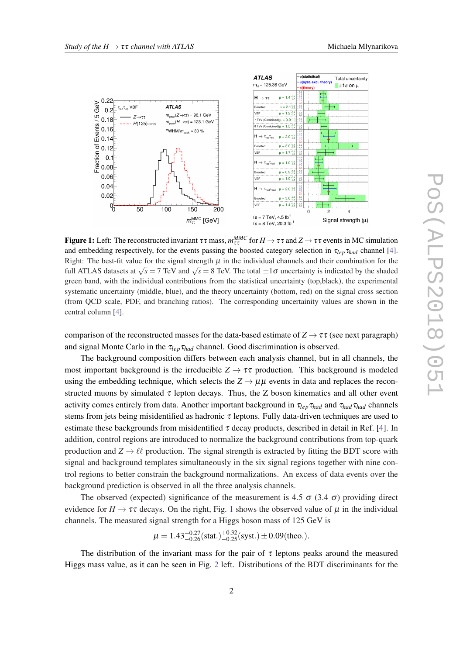<span id="page-2-0"></span>

Figure 1: Left: The reconstructed invariant  $\tau\tau$  mass,  $m_{\tau\tau}^{MMC}$  for  $H\to\tau\tau$  and  $Z\to\tau\tau$  events in MC simulation and embedding respectively, for the events passing the boosted category selection in  $\tau_{lep}\tau_{had}$  channel [\[4](#page-4-0)]. Right: The best-fit value for the signal strength  $\mu$  in the individual channels and their combination for the full ATLAS datasets at  $\sqrt{s} = 7$  TeV and  $\sqrt{s} = 8$  TeV. The total  $\pm 1\sigma$  uncertainty is indicated by the shaded by the shaded green band, with the individual contributions from the statistical uncertainty (top,black), the experimental systematic uncertainty (middle, blue), and the theory uncertainty (bottom, red) on the signal cross section (from QCD scale, PDF, and branching ratios). The corresponding uncertainity values are shown in the central column [[4\]](#page-4-0).

comparison of the reconstructed masses for the data-based estimate of  $Z \rightarrow \tau \tau$  (see next paragraph) and signal Monte Carlo in the  $\tau_{\text{lep}}\tau_{\text{had}}$  channel. Good discrimination is observed.

The background composition differs between each analysis channel, but in all channels, the most important background is the irreducible  $Z \rightarrow \tau \tau$  production. This background is modeled using the embedding technique, which selects the  $Z \rightarrow \mu\mu$  events in data and replaces the reconstructed muons by simulated  $\tau$  lepton decays. Thus, the Z boson kinematics and all other event activity comes entirely from data. Another important background in τ*lep*τ*had* and τ*had*τ*had* channels stems from jets being misidentified as hadronic  $\tau$  leptons. Fully data-driven techniques are used to estimate these backgrounds from misidentified  $\tau$  decay products, described in detail in Ref. [[4](#page-4-0)]. In addition, control regions are introduced to normalize the background contributions from top-quark production and  $Z \rightarrow \ell \ell$  production. The signal strength is extracted by fitting the BDT score with signal and background templates simultaneously in the six signal regions together with nine control regions to better constrain the background normalizations. An excess of data events over the background prediction is observed in all the three analysis channels.

The observed (expected) significance of the measurement is 4.5  $\sigma$  (3.4  $\sigma$ ) providing direct evidence for  $H \to \tau \tau$  decays. On the right, Fig. 1 shows the observed value of  $\mu$  in the individual channels. The measured signal strength for a Higgs boson mass of 125 GeV is

$$
\mu = 1.43^{+0.27}_{-0.26} \text{(stat.)}^{+0.32}_{-0.25} \text{(syst.)} \pm 0.09 \text{(theo.).}
$$

The distribution of the invariant mass for the pair of  $\tau$  leptons peaks around the measured Higgs mass value, as it can be seen in Fig. [2](#page-3-0) left. Distributions of the BDT discriminants for the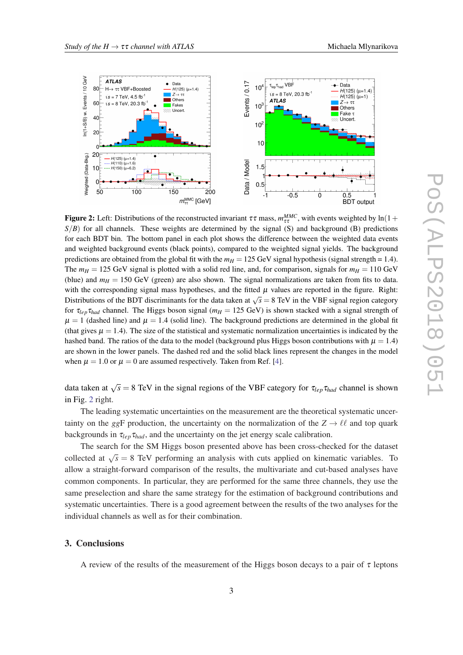<span id="page-3-0"></span>

**Figure 2:** Left: Distributions of the reconstructed invariant  $\tau\tau$  mass,  $m_{\tau\tau}^{MMC}$ , with events weighted by ln(1+  $S/B$ ) for all channels. These weights are determined by the signal (S) and background (B) predictions for each BDT bin. The bottom panel in each plot shows the difference between the weighted data events and weighted background events (black points), compared to the weighted signal yields. The background predictions are obtained from the global fit with the  $m_H = 125$  GeV signal hypothesis (signal strength = 1.4). The  $m_H = 125$  GeV signal is plotted with a solid red line, and, for comparison, signals for  $m_H = 110$  GeV (blue) and  $m<sub>H</sub> = 150$  GeV (green) are also shown. The signal normalizations are taken from fits to data. with the corresponding signal mass hypotheses, and the fitted  $\mu$  values are reported in the figure. Right: Distributions of the BDT discriminants for the data taken at  $\sqrt{s} = 8$  TeV in the VBF signal region category for  $\tau_{lep} \tau_{had}$  channel. The Higgs boson signal ( $m_H = 125$  GeV) is shown stacked with a signal strength of  $\mu = 1$  (dashed line) and  $\mu = 1.4$  (solid line). The background predictions are determined in the global fit (that gives  $\mu = 1.4$ ). The size of the statistical and systematic normalization uncertainties is indicated by the hashed band. The ratios of the data to the model (background plus Higgs boson contributions with  $\mu = 1.4$ ) are shown in the lower panels. The dashed red and the solid black lines represent the changes in the model when  $\mu = 1.0$  or  $\mu = 0$  are assumed respectively. Taken from Ref. [\[4\]](#page-4-0).

data taken at  $\sqrt{s} = 8$  TeV in the signal regions of the VBF category for  $\tau_{lep} \tau_{had}$  channel is shown in Fig. 2 right.

The leading systematic uncertainties on the measurement are the theoretical systematic uncertainty on the *ggF* production, the uncertainty on the normalization of the  $Z \rightarrow \ell \ell$  and top quark backgrounds in  $\tau_{lep}\tau_{had}$ , and the uncertainty on the jet energy scale calibration.

The search for the SM Higgs boson presented above has been cross-checked for the dataset collected at  $\sqrt{s} = 8$  TeV performing an analysis with cuts applied on kinematic variables. To allow a straight-forward comparison of the results, the multivariate and cut-based analyses have common components. In particular, they are performed for the same three channels, they use the same preselection and share the same strategy for the estimation of background contributions and systematic uncertainties. There is a good agreement between the results of the two analyses for the individual channels as well as for their combination.

## 3. Conclusions

A review of the results of the measurement of the Higgs boson decays to a pair of  $\tau$  leptons